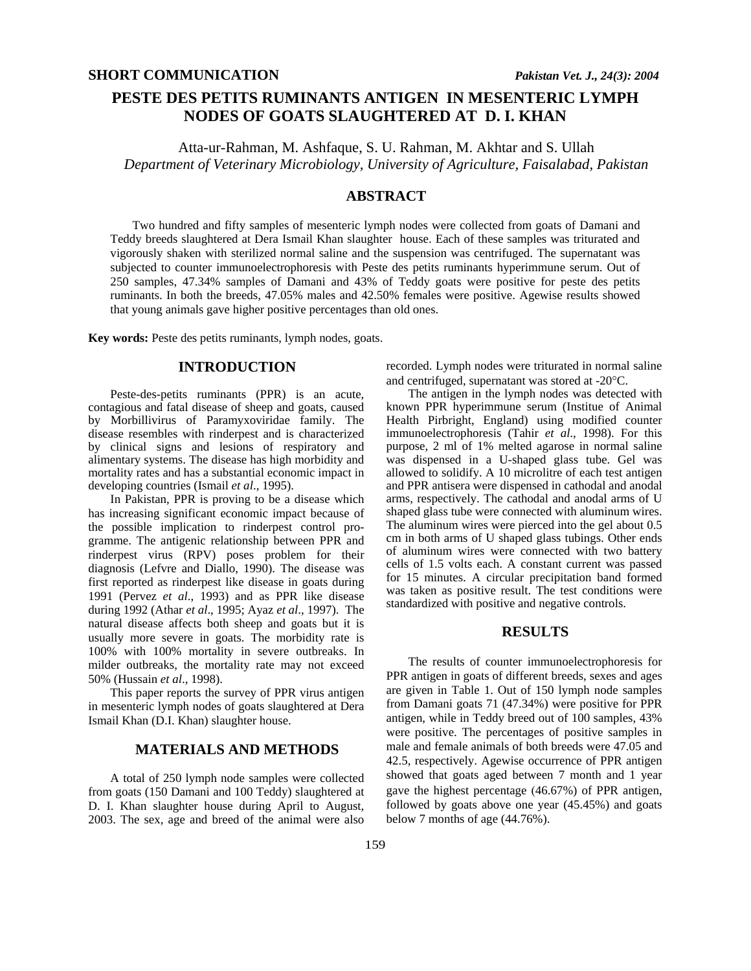# **PESTE DES PETITS RUMINANTS ANTIGEN IN MESENTERIC LYMPH NODES OF GOATS SLAUGHTERED AT D. I. KHAN**

Atta-ur-Rahman, M. Ashfaque, S. U. Rahman, M. Akhtar and S. Ullah *Department of Veterinary Microbiology, University of Agriculture, Faisalabad, Pakistan* 

## **ABSTRACT**

Two hundred and fifty samples of mesenteric lymph nodes were collected from goats of Damani and Teddy breeds slaughtered at Dera Ismail Khan slaughter house. Each of these samples was triturated and vigorously shaken with sterilized normal saline and the suspension was centrifuged. The supernatant was subjected to counter immunoelectrophoresis with Peste des petits ruminants hyperimmune serum. Out of 250 samples, 47.34% samples of Damani and 43% of Teddy goats were positive for peste des petits ruminants. In both the breeds, 47.05% males and 42.50% females were positive. Agewise results showed that young animals gave higher positive percentages than old ones.

**Key words:** Peste des petits ruminants, lymph nodes, goats.

## **INTRODUCTION**

Peste-des-petits ruminants (PPR) is an acute, contagious and fatal disease of sheep and goats, caused by Morbillivirus of Paramyxoviridae family. The disease resembles with rinderpest and is characterized by clinical signs and lesions of respiratory and alimentary systems. The disease has high morbidity and mortality rates and has a substantial economic impact in developing countries (Ismail *et al*., 1995).

In Pakistan, PPR is proving to be a disease which has increasing significant economic impact because of the possible implication to rinderpest control programme. The antigenic relationship between PPR and rinderpest virus (RPV) poses problem for their diagnosis (Lefvre and Diallo, 1990). The disease was first reported as rinderpest like disease in goats during 1991 (Pervez *et al*., 1993) and as PPR like disease during 1992 (Athar *et al*., 1995; Ayaz *et al*., 1997). The natural disease affects both sheep and goats but it is usually more severe in goats. The morbidity rate is 100% with 100% mortality in severe outbreaks. In milder outbreaks, the mortality rate may not exceed 50% (Hussain *et al*., 1998).

This paper reports the survey of PPR virus antigen in mesenteric lymph nodes of goats slaughtered at Dera Ismail Khan (D.I. Khan) slaughter house.

## **MATERIALS AND METHODS**

A total of 250 lymph node samples were collected from goats (150 Damani and 100 Teddy) slaughtered at D. I. Khan slaughter house during April to August, 2003. The sex, age and breed of the animal were also

recorded. Lymph nodes were triturated in normal saline and centrifuged, supernatant was stored at -20°C.

The antigen in the lymph nodes was detected with known PPR hyperimmune serum (Institue of Animal Health Pirbright, England) using modified counter immunoelectrophoresis (Tahir *et al*., 1998). For this purpose, 2 ml of 1% melted agarose in normal saline was dispensed in a U-shaped glass tube. Gel was allowed to solidify. A 10 microlitre of each test antigen and PPR antisera were dispensed in cathodal and anodal arms, respectively. The cathodal and anodal arms of U shaped glass tube were connected with aluminum wires. The aluminum wires were pierced into the gel about 0.5 cm in both arms of U shaped glass tubings. Other ends of aluminum wires were connected with two battery cells of 1.5 volts each. A constant current was passed for 15 minutes. A circular precipitation band formed was taken as positive result. The test conditions were standardized with positive and negative controls.

### **RESULTS**

The results of counter immunoelectrophoresis for PPR antigen in goats of different breeds, sexes and ages are given in Table 1. Out of 150 lymph node samples from Damani goats 71 (47.34%) were positive for PPR antigen, while in Teddy breed out of 100 samples, 43% were positive. The percentages of positive samples in male and female animals of both breeds were 47.05 and 42.5, respectively. Agewise occurrence of PPR antigen showed that goats aged between 7 month and 1 year gave the highest percentage (46.67%) of PPR antigen, followed by goats above one year (45.45%) and goats below 7 months of age (44.76%).